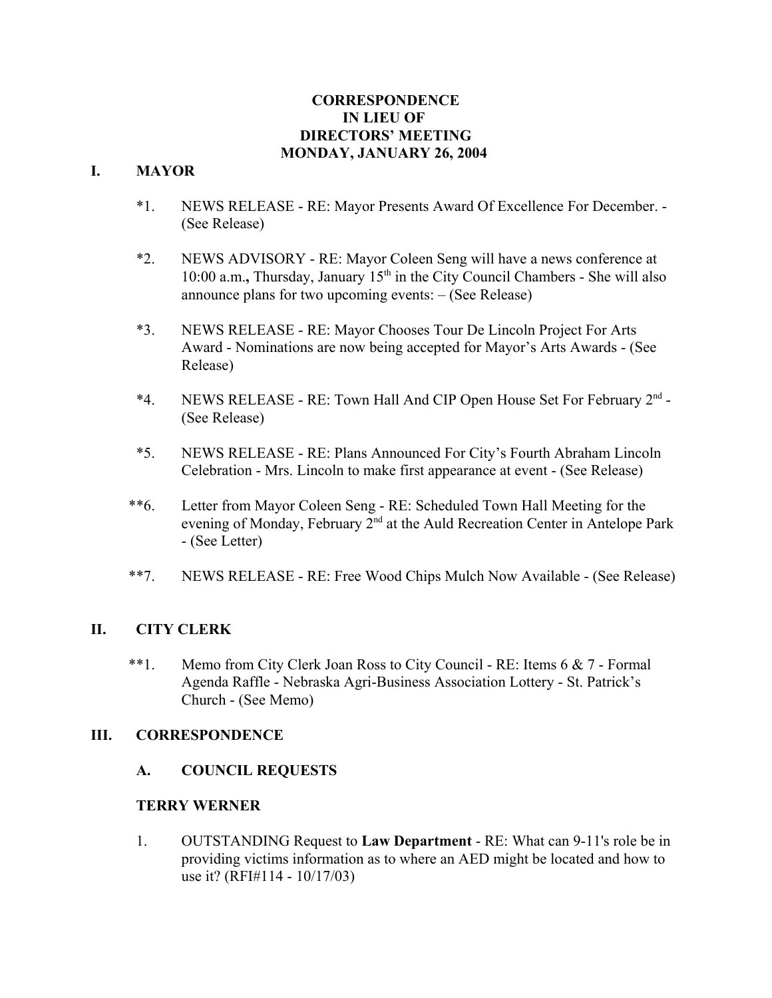## **CORRESPONDENCE IN LIEU OF DIRECTORS' MEETING MONDAY, JANUARY 26, 2004**

## **I. MAYOR**

- \*1. NEWS RELEASE RE: Mayor Presents Award Of Excellence For December. (See Release)
- \*2. NEWS ADVISORY RE: Mayor Coleen Seng will have a news conference at 10:00 a.m., Thursday, January 15<sup>th</sup> in the City Council Chambers - She will also announce plans for two upcoming events: – (See Release)
- \*3. NEWS RELEASE RE: Mayor Chooses Tour De Lincoln Project For Arts Award - Nominations are now being accepted for Mayor's Arts Awards - (See Release)
- \*4. NEWS RELEASE RE: Town Hall And CIP Open House Set For February 2nd (See Release)
- \*5. NEWS RELEASE RE: Plans Announced For City's Fourth Abraham Lincoln Celebration - Mrs. Lincoln to make first appearance at event - (See Release)
- \*\*6. Letter from Mayor Coleen Seng RE: Scheduled Town Hall Meeting for the evening of Monday, February  $2^{nd}$  at the Auld Recreation Center in Antelope Park - (See Letter)
- \*\*7. NEWS RELEASE RE: Free Wood Chips Mulch Now Available (See Release)

# **II. CITY CLERK**

 \*\*1. Memo from City Clerk Joan Ross to City Council - RE: Items 6 & 7 - Formal Agenda Raffle - Nebraska Agri-Business Association Lottery - St. Patrick's Church - (See Memo)

## **III. CORRESPONDENCE**

**A. COUNCIL REQUESTS**

## **TERRY WERNER**

1. OUTSTANDING Request to **Law Department** - RE: What can 9-11's role be in providing victims information as to where an AED might be located and how to use it? (RFI#114 - 10/17/03)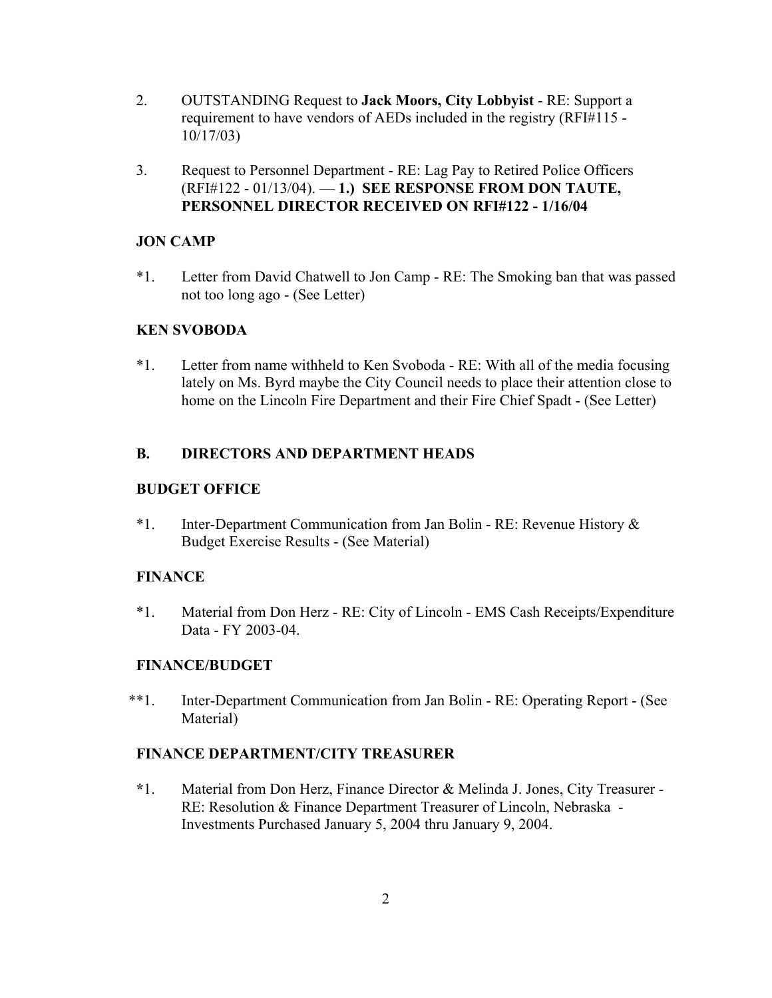- 2. OUTSTANDING Request to **Jack Moors, City Lobbyist** RE: Support a requirement to have vendors of AEDs included in the registry (RFI#115 - 10/17/03)
- 3. Request to Personnel Department RE: Lag Pay to Retired Police Officers (RFI#122 - 01/13/04). — **1.) SEE RESPONSE FROM DON TAUTE, PERSONNEL DIRECTOR RECEIVED ON RFI#122 - 1/16/04**

## **JON CAMP**

\*1. Letter from David Chatwell to Jon Camp - RE: The Smoking ban that was passed not too long ago - (See Letter)

## **KEN SVOBODA**

\*1. Letter from name withheld to Ken Svoboda - RE: With all of the media focusing lately on Ms. Byrd maybe the City Council needs to place their attention close to home on the Lincoln Fire Department and their Fire Chief Spadt - (See Letter)

## **B. DIRECTORS AND DEPARTMENT HEADS**

## **BUDGET OFFICE**

\*1. Inter-Department Communication from Jan Bolin - RE: Revenue History & Budget Exercise Results - (See Material)

## **FINANCE**

\*1. Material from Don Herz - RE: City of Lincoln - EMS Cash Receipts/Expenditure Data - FY 2003-04.

## **FINANCE/BUDGET**

\*\*1. Inter-Department Communication from Jan Bolin - RE: Operating Report - (See Material)

## **FINANCE DEPARTMENT/CITY TREASURER**

**\***1. Material from Don Herz, Finance Director & Melinda J. Jones, City Treasurer - RE: Resolution & Finance Department Treasurer of Lincoln, Nebraska - Investments Purchased January 5, 2004 thru January 9, 2004.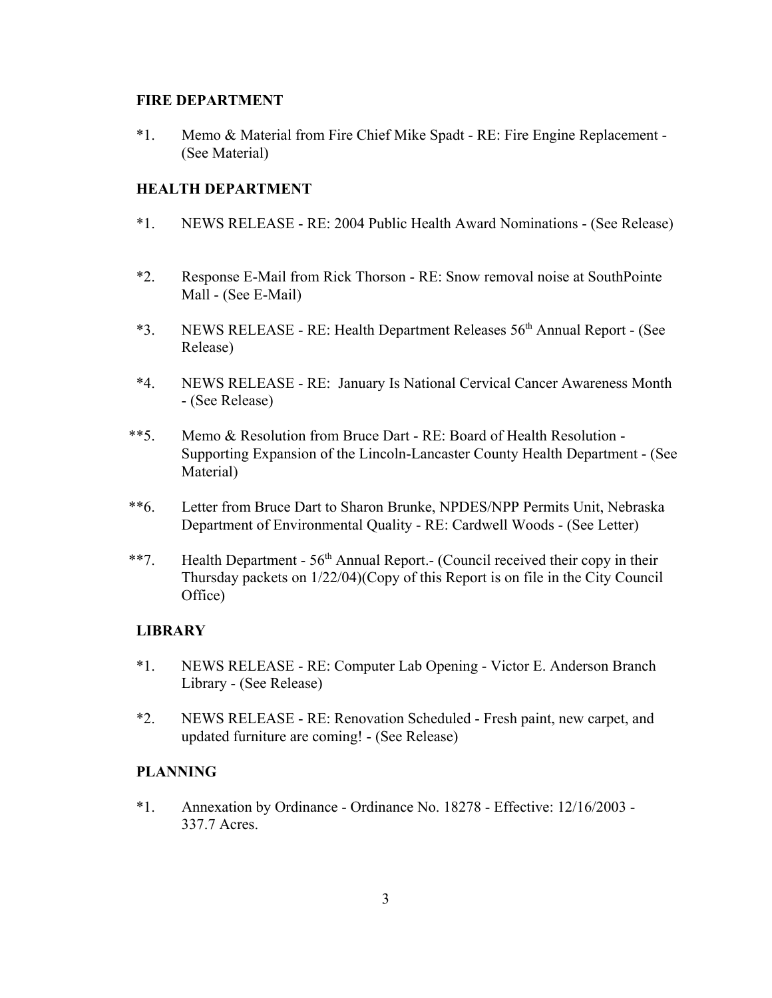#### **FIRE DEPARTMENT**

\*1. Memo & Material from Fire Chief Mike Spadt - RE: Fire Engine Replacement - (See Material)

## **HEALTH DEPARTMENT**

- \*1. NEWS RELEASE RE: 2004 Public Health Award Nominations (See Release)
- \*2. Response E-Mail from Rick Thorson RE: Snow removal noise at SouthPointe Mall - (See E-Mail)
- \*3. NEWS RELEASE RE: Health Department Releases 56th Annual Report (See Release)
- \*4. NEWS RELEASE RE: January Is National Cervical Cancer Awareness Month - (See Release)
- \*\*5. Memo & Resolution from Bruce Dart RE: Board of Health Resolution Supporting Expansion of the Lincoln-Lancaster County Health Department - (See Material)
- \*\*6. Letter from Bruce Dart to Sharon Brunke, NPDES/NPP Permits Unit, Nebraska Department of Environmental Quality - RE: Cardwell Woods - (See Letter)
- \*\*7. Health Department  $56<sup>th</sup>$  Annual Report.- (Council received their copy in their Thursday packets on 1/22/04)(Copy of this Report is on file in the City Council Office)

## **LIBRARY**

- \*1. NEWS RELEASE RE: Computer Lab Opening Victor E. Anderson Branch Library - (See Release)
- \*2. NEWS RELEASE RE: Renovation Scheduled Fresh paint, new carpet, and updated furniture are coming! - (See Release)

## **PLANNING**

\*1. Annexation by Ordinance - Ordinance No. 18278 - Effective: 12/16/2003 - 337.7 Acres.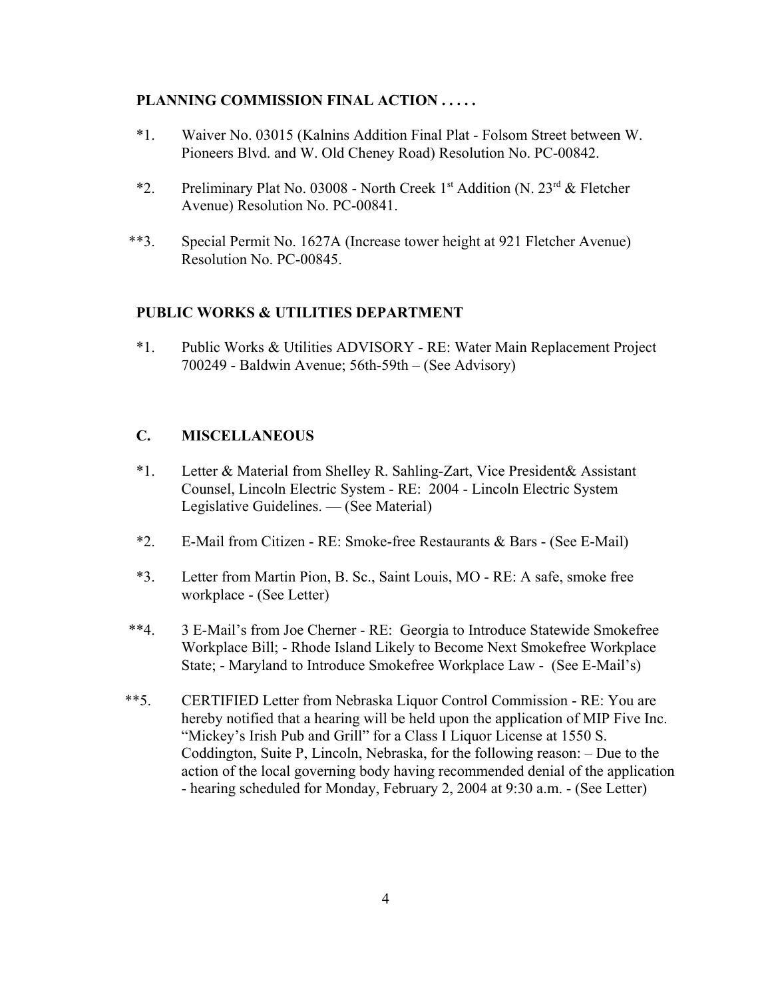### **PLANNING COMMISSION FINAL ACTION . . . . .**

- \*1. Waiver No. 03015 (Kalnins Addition Final Plat Folsom Street between W. Pioneers Blvd. and W. Old Cheney Road) Resolution No. PC-00842.
- \*2. Preliminary Plat No. 03008 North Creek 1st Addition (N.  $23^{rd}$  & Fletcher Avenue) Resolution No. PC-00841.
- \*\*3. Special Permit No. 1627A (Increase tower height at 921 Fletcher Avenue) Resolution No. PC-00845.

#### **PUBLIC WORKS & UTILITIES DEPARTMENT**

\*1. Public Works & Utilities ADVISORY - RE: Water Main Replacement Project 700249 - Baldwin Avenue; 56th-59th – (See Advisory)

## **C. MISCELLANEOUS**

- \*1. Letter & Material from Shelley R. Sahling-Zart, Vice President& Assistant Counsel, Lincoln Electric System - RE: 2004 - Lincoln Electric System Legislative Guidelines. — (See Material)
- \*2. E-Mail from Citizen RE: Smoke-free Restaurants & Bars (See E-Mail)
- \*3. Letter from Martin Pion, B. Sc., Saint Louis, MO RE: A safe, smoke free workplace - (See Letter)
- \*\*4. 3 E-Mail's from Joe Cherner RE: Georgia to Introduce Statewide Smokefree Workplace Bill; - Rhode Island Likely to Become Next Smokefree Workplace State; - Maryland to Introduce Smokefree Workplace Law - (See E-Mail's)
- \*\*5. CERTIFIED Letter from Nebraska Liquor Control Commission RE: You are hereby notified that a hearing will be held upon the application of MIP Five Inc. "Mickey's Irish Pub and Grill" for a Class I Liquor License at 1550 S. Coddington, Suite P, Lincoln, Nebraska, for the following reason: – Due to the action of the local governing body having recommended denial of the application - hearing scheduled for Monday, February 2, 2004 at 9:30 a.m. - (See Letter)